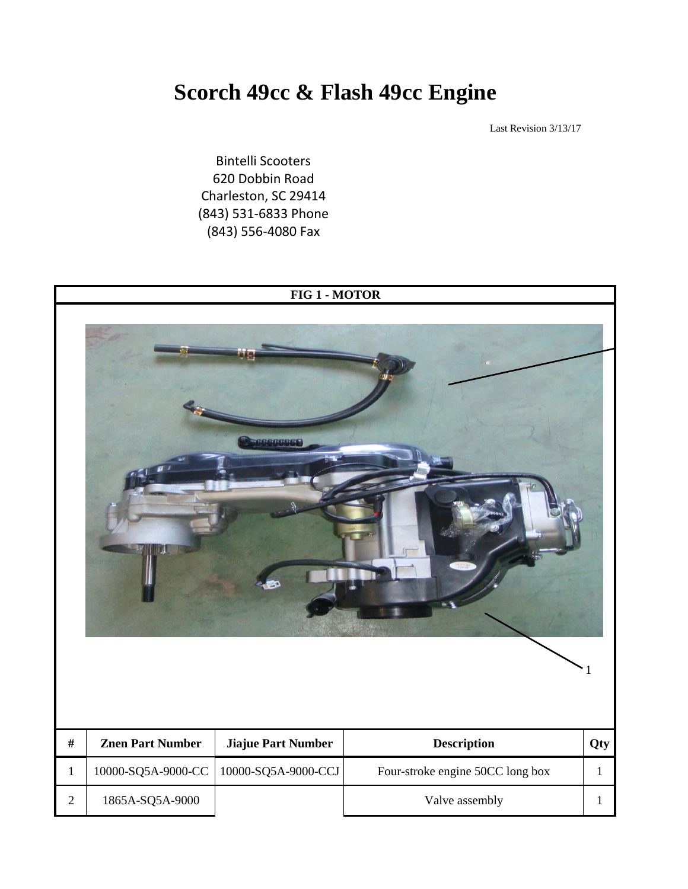## **Scorch 49cc & Flash 49cc Engine**

Last Revision 3/13/17

Bintelli Scooters 620 Dobbin Road Charleston, SC 29414 (843) 531-6833 Phone (843) 556-4080 Fax

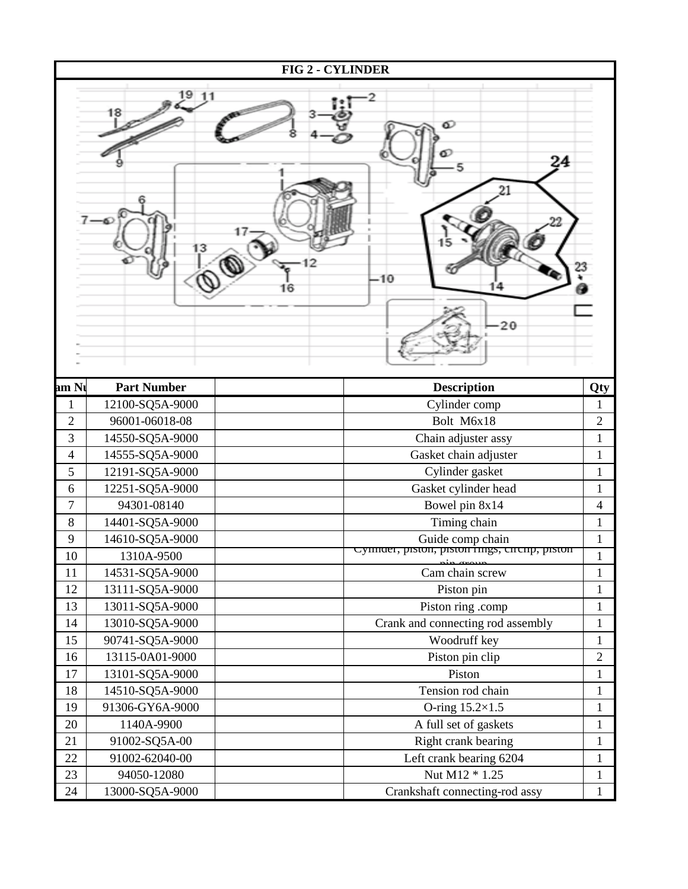|                |                    | <b>FIG 2 - CYLINDER</b>                                           |                |
|----------------|--------------------|-------------------------------------------------------------------|----------------|
|                | 18<br>13           | o<br>24<br>$-10$<br>14<br>16<br>20                                |                |
| am Ni          | <b>Part Number</b> | <b>Description</b>                                                | Qty            |
| 1              | 12100-SQ5A-9000    | Cylinder comp                                                     | 1              |
| $\overline{2}$ | 96001-06018-08     | Bolt M6x18                                                        | $\overline{2}$ |
| 3              | 14550-SQ5A-9000    | Chain adjuster assy                                               | $\mathbf{1}$   |
| 4              | 14555-SQ5A-9000    | Gasket chain adjuster                                             | $\mathbf{1}$   |
| 5              | 12191-SQ5A-9000    | Cylinder gasket                                                   | $\mathbf{1}$   |
| 6              | 12251-SQ5A-9000    | Gasket cylinder head                                              | $\mathbf{1}$   |
| $\overline{7}$ | 94301-08140        | Bowel pin 8x14                                                    | 4              |
| 8              | 14401-SQ5A-9000    | Timing chain                                                      | $\mathbf{1}$   |
| 9              | 14610-SQ5A-9000    | Guide comp chain<br>Cynnuer, piston, piston rings, circnp, piston | $\mathbf{1}$   |
| 10             | 1310A-9500         | $\sim$ $\sim$ $\sim$                                              | $\mathbf{1}$   |
| 11             | 14531-SQ5A-9000    | Cam chain screw                                                   | $\mathbf{1}$   |
| 12             | 13111-SQ5A-9000    | Piston pin                                                        | $\mathbf{1}$   |
| 13             | 13011-SQ5A-9000    | Piston ring .comp                                                 | $\mathbf 1$    |
| 14             | 13010-SQ5A-9000    | Crank and connecting rod assembly                                 | $\mathbf{1}$   |
| 15             | 90741-SQ5A-9000    | Woodruff key                                                      | $\mathbf{1}$   |
| 16             | 13115-0A01-9000    | Piston pin clip                                                   | $\overline{2}$ |
| 17             | 13101-SQ5A-9000    | Piston                                                            | $\mathbf{1}$   |
| 18             | 14510-SQ5A-9000    | Tension rod chain                                                 | $\mathbf{1}$   |
| 19             | 91306-GY6A-9000    | O-ring $15.2\times1.5$                                            | $\mathbf{1}$   |
| 20             | 1140A-9900         | A full set of gaskets                                             | $\mathbf{1}$   |
| 21             | 91002-SQ5A-00      | Right crank bearing                                               | $\mathbf{1}$   |
| 22             | 91002-62040-00     | Left crank bearing 6204                                           | $\mathbf{1}$   |
| 23             | 94050-12080        | Nut M12 * 1.25                                                    | $\mathbf{1}$   |
| 24             | 13000-SQ5A-9000    | Crankshaft connecting-rod assy                                    | $\mathbf{1}$   |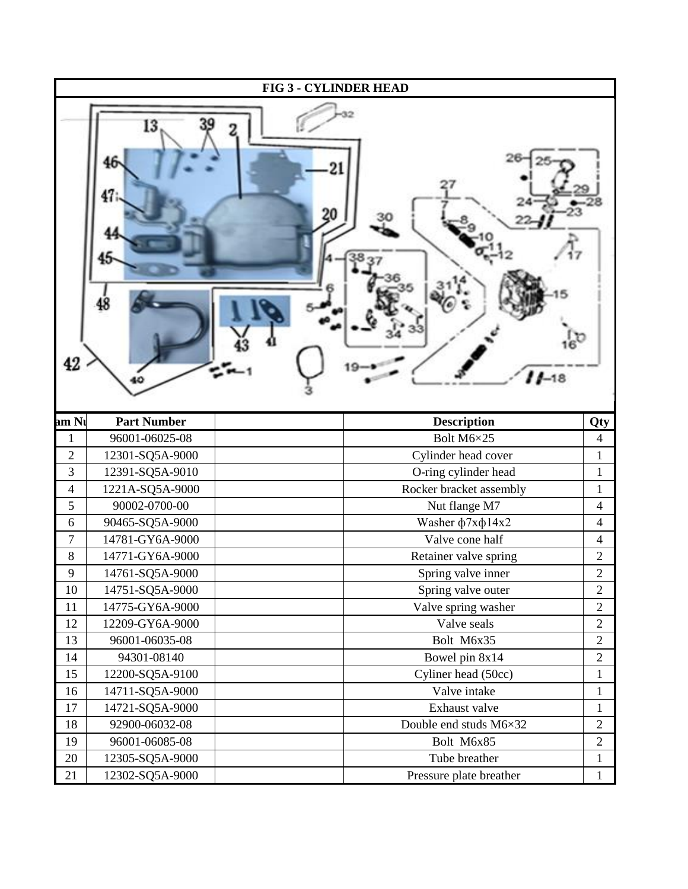|                |                    | <b>FIG 3 - CYLINDER HEAD</b> |                          |
|----------------|--------------------|------------------------------|--------------------------|
| 42             | l3                 | $11 - 18$                    |                          |
| am Ni          | <b>Part Number</b> | <b>Description</b>           | Qty                      |
| 1              | 96001-06025-08     | Bolt M6×25                   | $\overline{4}$           |
| $\mathbf{2}$   | 12301-SQ5A-9000    | Cylinder head cover          | $\mathbf{1}$             |
| 3              | 12391-SQ5A-9010    | O-ring cylinder head         | $\mathbf{1}$             |
| $\overline{4}$ | 1221A-SQ5A-9000    | Rocker bracket assembly      | $\mathbf{1}$             |
| 5              | 90002-0700-00      | Nut flange M7                | $\overline{\mathcal{A}}$ |
| 6              | 90465-SQ5A-9000    | Washer ф7хф14х2              | 4                        |
| $\overline{7}$ | 14781-GY6A-9000    | Valve cone half              | $\overline{4}$           |
| $\,8\,$        | 14771-GY6A-9000    | Retainer valve spring        | $\boldsymbol{2}$         |
| 9              | 14761-SQ5A-9000    | Spring valve inner           | $\overline{2}$           |
| 10             | 14751-SQ5A-9000    | Spring valve outer           | $\mathbf{2}$             |
| 11             | 14775-GY6A-9000    | Valve spring washer          | $\mathbf{2}$             |
| 12             | 12209-GY6A-9000    | Valve seals                  | $\mathbf{2}$             |
| 13             | 96001-06035-08     | Bolt M6x35                   | $\mathbf{2}$             |
| 14             | 94301-08140        | Bowel pin 8x14               | $\mathbf{2}$             |
| 15             | 12200-SQ5A-9100    | Cyliner head (50cc)          | $\mathbf{1}$             |
| 16             | 14711-SQ5A-9000    | Valve intake                 | $\mathbf{1}$             |
| 17             | 14721-SQ5A-9000    | Exhaust valve                | $\mathbf{1}$             |
| 18             | 92900-06032-08     | Double end studs M6×32       | $\mathbf{2}$             |
| 19             | 96001-06085-08     | Bolt M6x85                   | $\mathbf{2}$             |
| 20             | 12305-SQ5A-9000    | Tube breather                | $\mathbf{1}$             |
| 21             | 12302-SQ5A-9000    | Pressure plate breather      | $\mathbf{1}$             |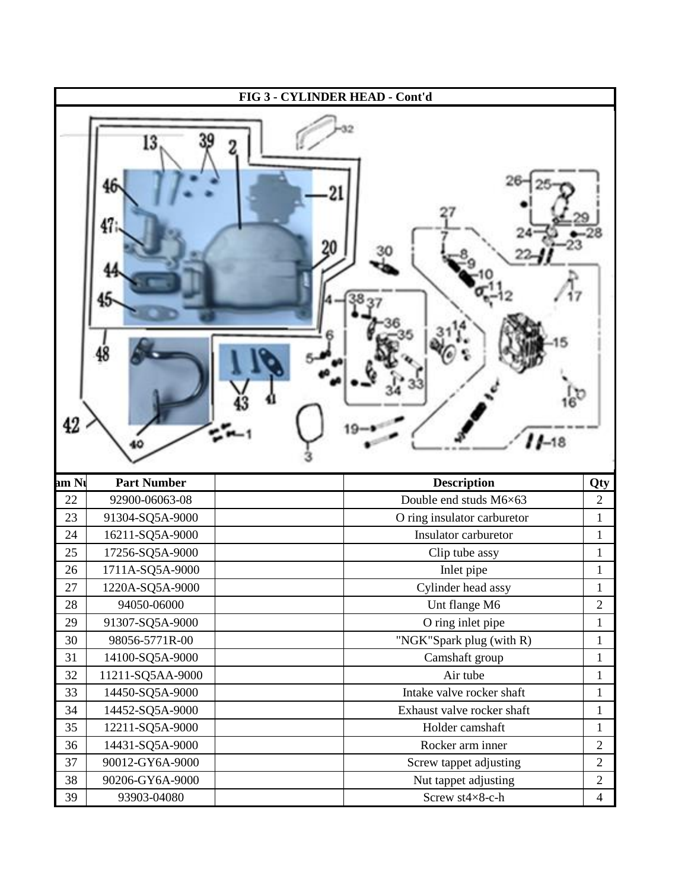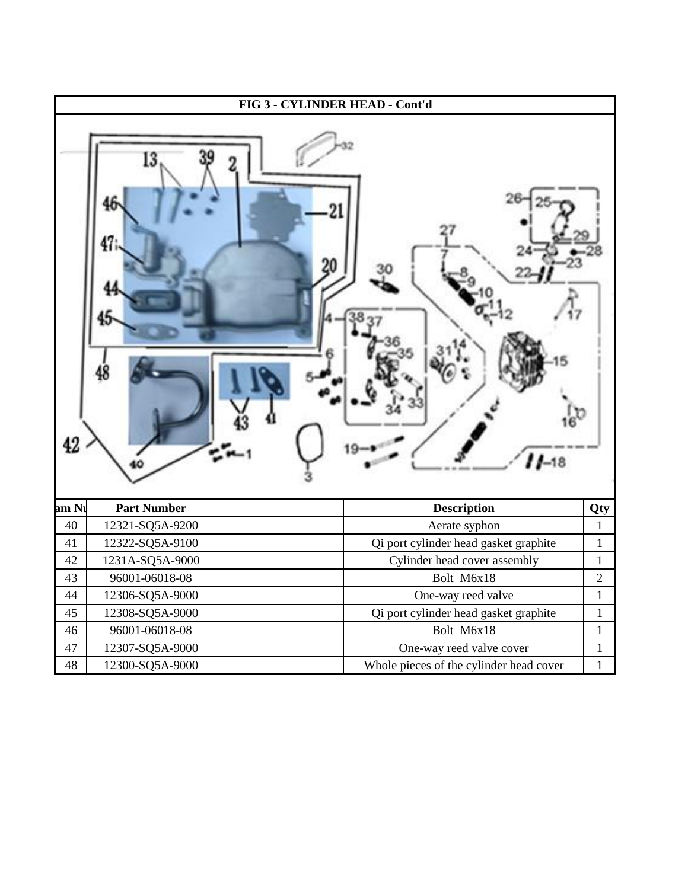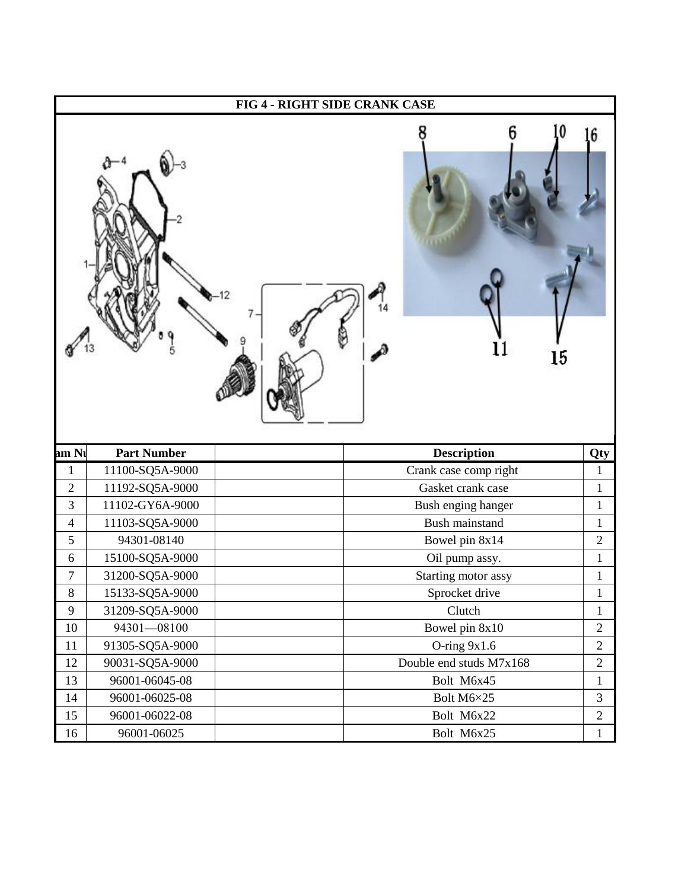|                          |                                       | FIG 4 - RIGHT SIDE CRANK CASE        |                     |
|--------------------------|---------------------------------------|--------------------------------------|---------------------|
|                          |                                       | 15                                   | $6 \overline{6}$    |
|                          |                                       |                                      |                     |
|                          |                                       |                                      |                     |
| $\mathbf{1}$             | <b>Part Number</b><br>11100-SQ5A-9000 | Description<br>Crank case comp right | Qty<br>$\mathbf{1}$ |
| $\overline{2}$           | 11192-SQ5A-9000                       | Gasket crank case                    | $\mathbf{1}$        |
| 3                        | 11102-GY6A-9000                       | Bush enging hanger                   | $\mathbf{1}$        |
|                          | 11103-SQ5A-9000                       | Bush mainstand                       | $\mathbf{1}$        |
|                          | 94301-08140                           | Bowel pin 8x14                       | $\overline{2}$      |
| $\overline{4}$<br>5<br>6 | 15100-SQ5A-9000                       | Oil pump assy.                       | $\mathbf{1}$        |
| $\overline{7}$           | 31200-SQ5A-9000                       | Starting motor assy                  | $\mathbf{1}$        |
| 8                        | 15133-SQ5A-9000                       | Sprocket drive                       | $\mathbf{1}$        |
| 9                        | 31209-SQ5A-9000                       | Clutch                               | $\mathbf{1}$        |
|                          | 94301-08100                           | Bowel pin 8x10                       | $\sqrt{2}$          |
|                          | 91305-SQ5A-9000                       | O-ring $9x1.6$                       | $\overline{2}$      |
| 10<br>11<br>12           | 90031-SQ5A-9000                       | Double end studs M7x168              | $\overline{2}$      |
| 13                       | 96001-06045-08                        | Bolt M6x45                           | $\mathbf{1}$        |
| 14                       | 96001-06025-08                        | Bolt M6×25                           | 3                   |
| am Ni<br>15              | 96001-06022-08                        | Bolt M6x22                           | $\overline{2}$      |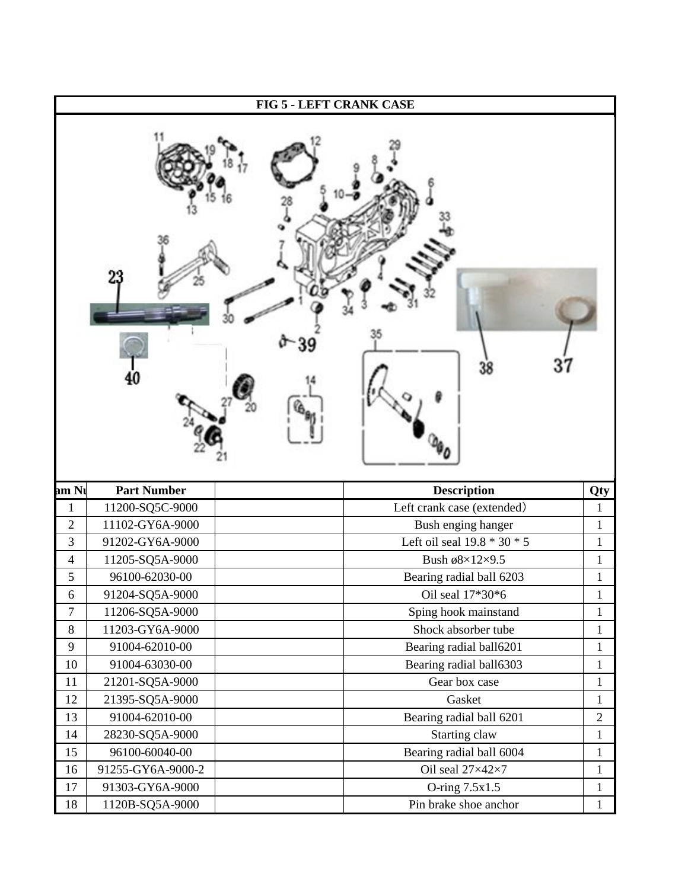|                  |                    | FIG 5 - LEFT CRANK CASE       |              |
|------------------|--------------------|-------------------------------|--------------|
|                  |                    | 37<br>38                      |              |
| am Ni            | <b>Part Number</b> | Description                   | <b>Qty</b>   |
| $\mathbf{1}$     | 11200-SQ5C-9000    | Left crank case (extended)    | $\mathbf{1}$ |
| $\sqrt{2}$       | 11102-GY6A-9000    | Bush enging hanger            | $\mathbf{1}$ |
| 3                | 91202-GY6A-9000    | Left oil seal $19.8 * 30 * 5$ | $\mathbf{1}$ |
| $\overline{4}$   | 11205-SQ5A-9000    | Bush ø8×12×9.5                |              |
| 5                |                    | Bearing radial ball 6203      | $\mathbf{1}$ |
|                  | 96100-62030-00     |                               | $\mathbf{1}$ |
| 6                | 91204-SQ5A-9000    | Oil seal $17*30*6$            | <b>T</b>     |
| $\boldsymbol{7}$ | 11206-SQ5A-9000    | Sping hook mainstand          | $\mathbf 1$  |
| $8\,$            | 11203-GY6A-9000    | Shock absorber tube           | $\mathbf{1}$ |
| 9                | 91004-62010-00     | Bearing radial ball6201       | $\mathbf{1}$ |
| 10               | 91004-63030-00     | Bearing radial ball6303       | $\mathbf{1}$ |
| 11               | 21201-SQ5A-9000    | Gear box case                 | $\mathbf{1}$ |
| 12               | 21395-SQ5A-9000    | Gasket                        | $\mathbf{1}$ |
| 13               | 91004-62010-00     | Bearing radial ball 6201      | $\mathbf{2}$ |
| 14               | 28230-SQ5A-9000    | Starting claw                 | $\mathbf{1}$ |
| 15               | 96100-60040-00     | Bearing radial ball 6004      | $\mathbf{1}$ |
| 16               | 91255-GY6A-9000-2  | Oil seal 27×42×7              | $\mathbf{1}$ |
| 17               | 91303-GY6A-9000    | O-ring 7.5x1.5                | $\mathbf{1}$ |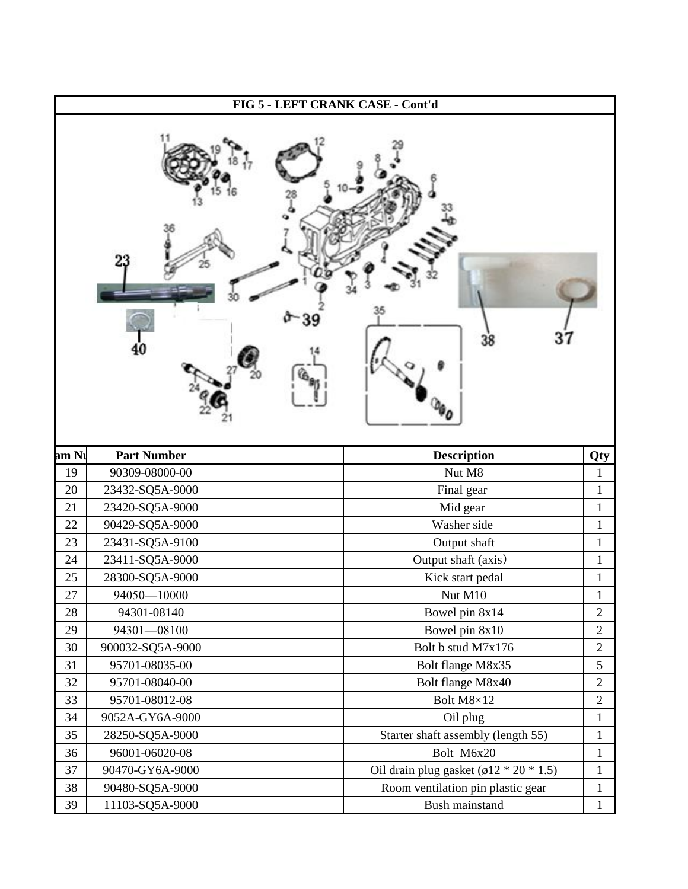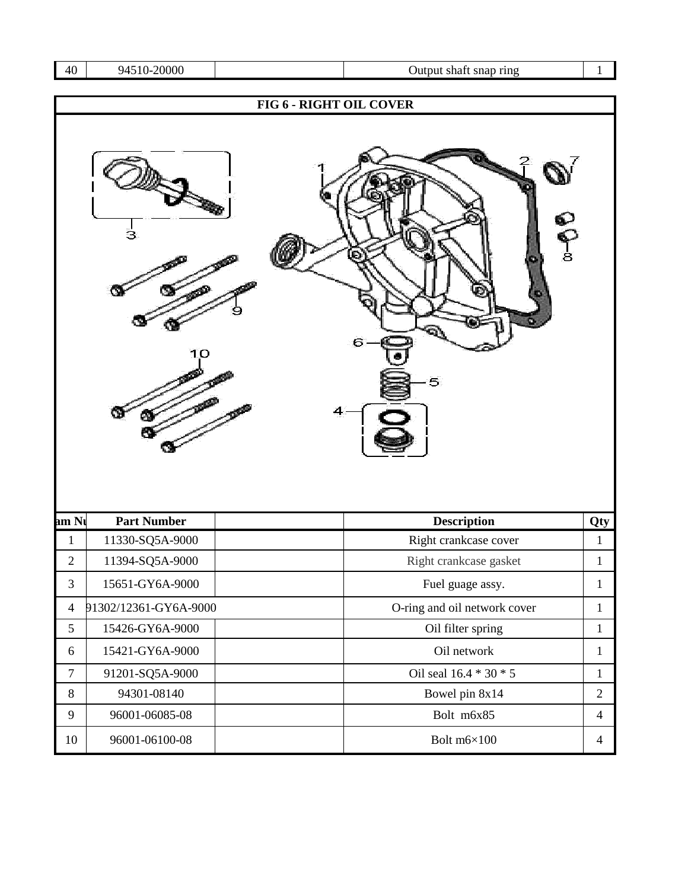| 40 l<br>94510-20000 |
|---------------------|
|---------------------|

## Output shaft snap ring 1

|                |                       | FIG 6 - RIGHT OIL COVER |                              |                     |
|----------------|-----------------------|-------------------------|------------------------------|---------------------|
|                | З<br>10               | 4                       | e<br>Po<br>6<br>5            |                     |
| am Ni          |                       |                         |                              |                     |
| $\mathbf{1}$   | <b>Part Number</b>    |                         | Description                  |                     |
|                | 11330-SQ5A-9000       |                         | Right crankcase cover        | Qty<br>$\mathbf{1}$ |
| $\overline{2}$ | 11394-SQ5A-9000       |                         | Right crankcase gasket       | $\mathbf{1}$        |
| 3              | 15651-GY6A-9000       |                         | Fuel guage assy.             | $\mathbf{1}$        |
| $\overline{4}$ | 91302/12361-GY6A-9000 |                         | O-ring and oil network cover | $\mathbf{1}$        |
| 5              | 15426-GY6A-9000       |                         | Oil filter spring            | $\mathbf{1}$        |
| 6              | 15421-GY6A-9000       |                         | Oil network                  | $\mathbf{1}$        |
| $\tau$         | 91201-SQ5A-9000       |                         | Oil seal 16.4 * 30 * 5       | $\mathbf{1}$        |
| $8\,$          | 94301-08140           |                         | Bowel pin 8x14               | $\sqrt{2}$          |
| 9              | 96001-06085-08        |                         | Bolt m6x85                   | $\overline{4}$      |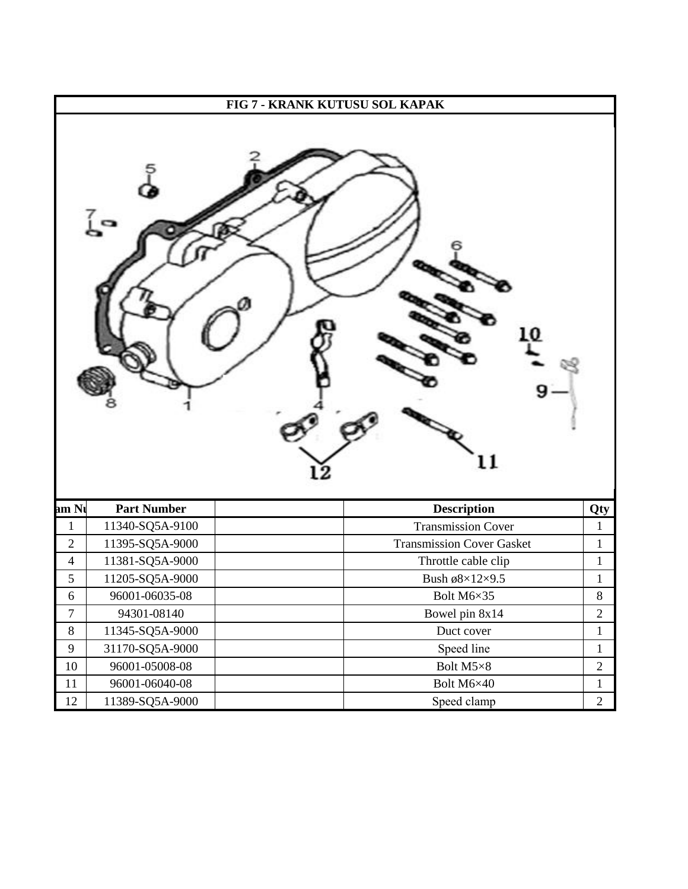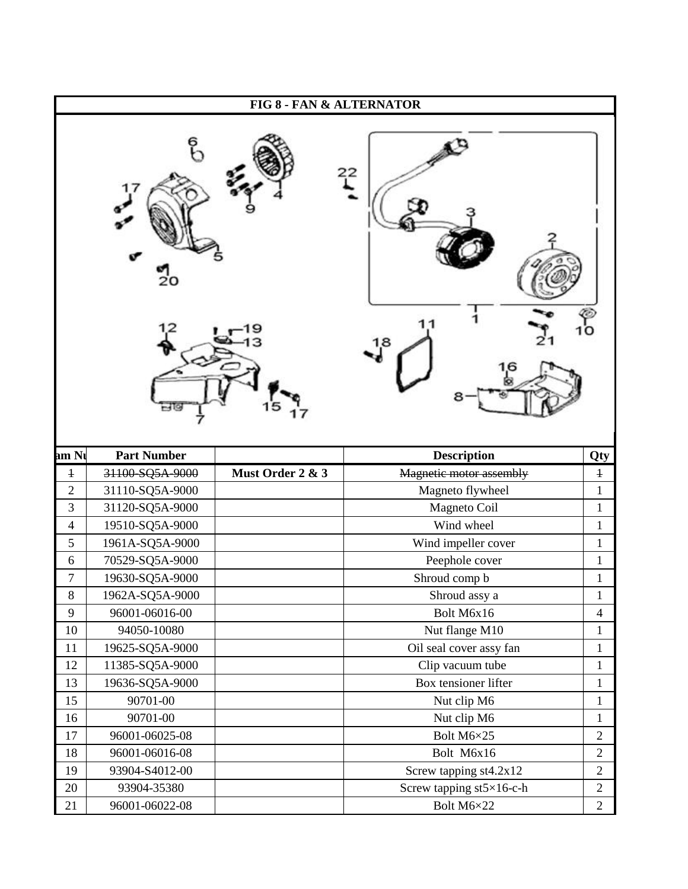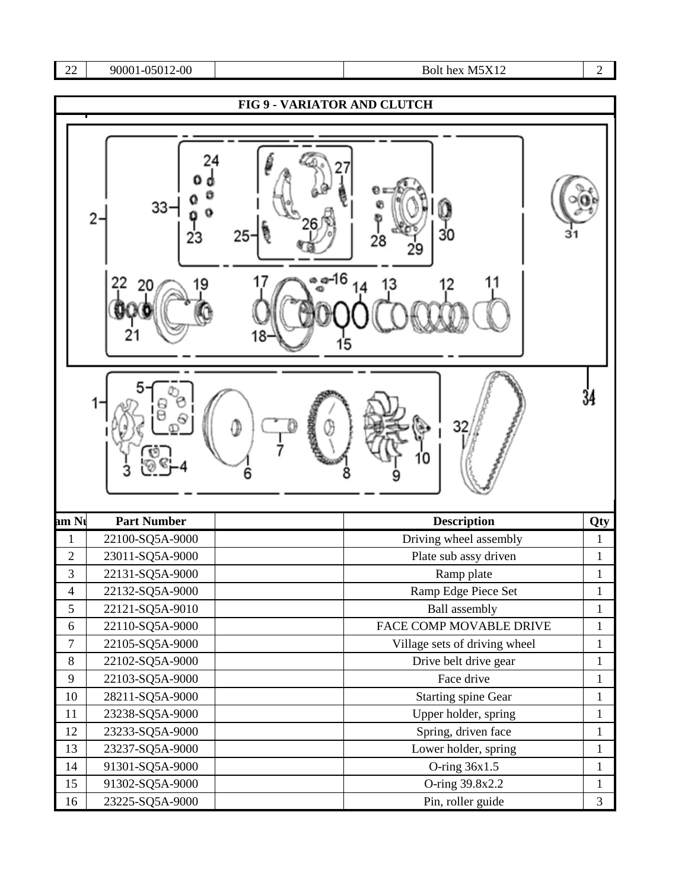## 22 90001-05012-00 <br>Bolt hex M5X12 2

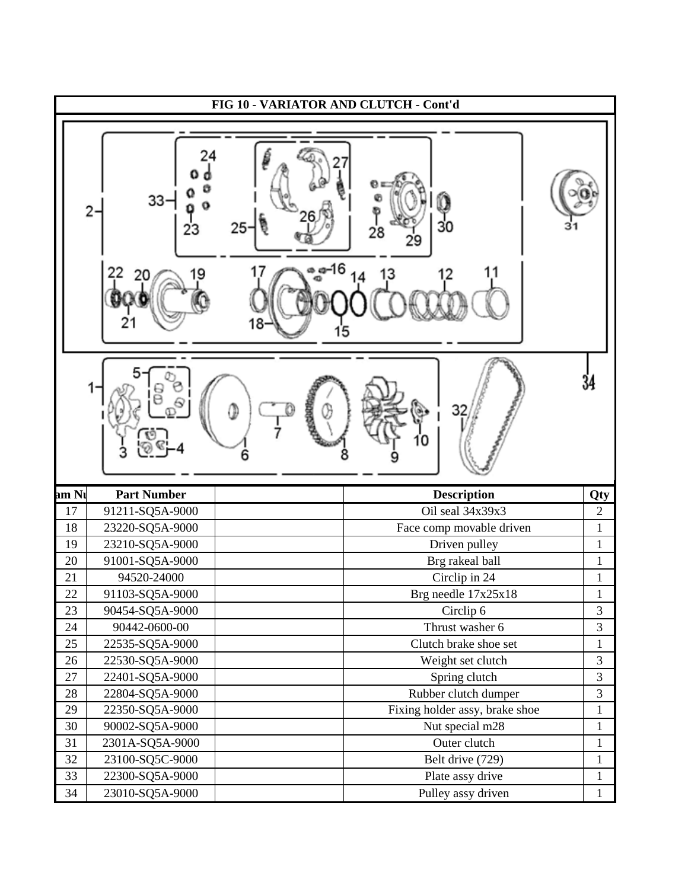